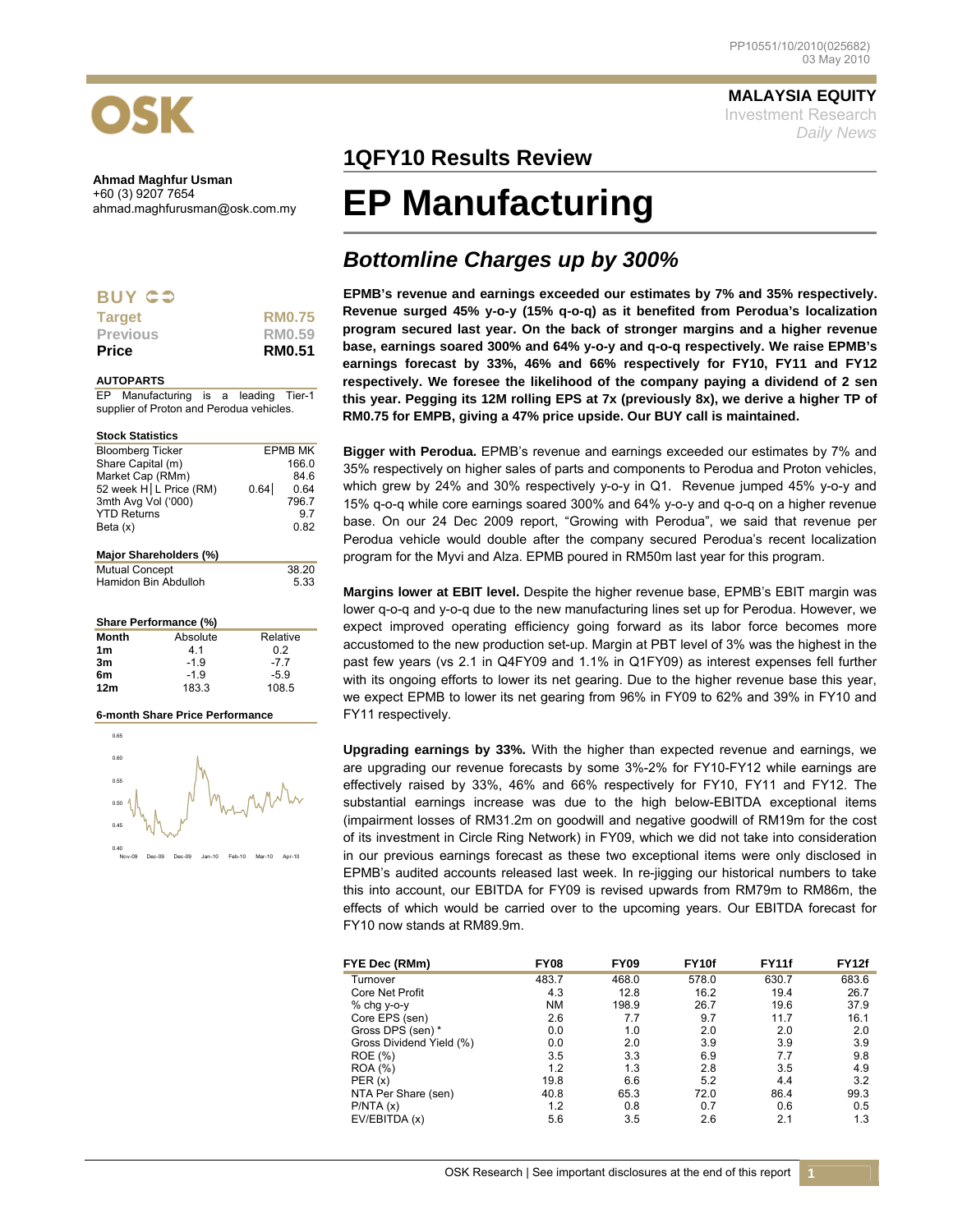

| -<br>. . | . . |  |
|----------|-----|--|

| <b>Target</b>   | <b>RM0.75</b> |
|-----------------|---------------|
| <b>Previous</b> | RM0.59        |
| <b>Price</b>    | <b>RM0.51</b> |

#### **AUTOPARTS**

EP Manufacturing is a leading Tier-1 supplier of Proton and Perodua vehicles.

| <b>Stock Statistics</b>  |      |                |
|--------------------------|------|----------------|
| <b>Bloomberg Ticker</b>  |      | <b>EPMB MK</b> |
| Share Capital (m)        |      | 166.0          |
| Market Cap (RMm)         |      | 84.6           |
| 52 week H   L Price (RM) | 0.64 | 0.64           |
| 3mth Avg Vol ('000)      |      | 796.7          |
| <b>YTD Returns</b>       |      | 97             |
| Beta (x)                 |      | 0.82           |
|                          |      |                |
| Major Shareholders (%)   |      |                |
| <b>Mutual Concept</b>    |      | 38.20          |
| Hamidon Bin Abdulloh     |      | 5.33           |

### **Share Performance (%)**

| Month           | Absolute | Relative |
|-----------------|----------|----------|
| 1 <sub>m</sub>  | 41       | 02       |
| 3m              | $-1.9$   | -77      |
| 6m              | $-1.9$   | $-5.9$   |
| 12 <sub>m</sub> | 183.3    | 108.5    |

## **6-month Share Price Performance**



**MALAYSIA EQUITY** Investment Research *Daily News*

# **1QFY10 Results Review**

# **EP Manufacturing**

# *Bottomline Charges up by 300%*

**EPMB's revenue and earnings exceeded our estimates by 7% and 35% respectively. Revenue surged 45% y-o-y (15% q-o-q) as it benefited from Perodua's localization program secured last year. On the back of stronger margins and a higher revenue base, earnings soared 300% and 64% y-o-y and q-o-q respectively. We raise EPMB's earnings forecast by 33%, 46% and 66% respectively for FY10, FY11 and FY12 respectively. We foresee the likelihood of the company paying a dividend of 2 sen this year. Pegging its 12M rolling EPS at 7x (previously 8x), we derive a higher TP of RM0.75 for EMPB, giving a 47% price upside. Our BUY call is maintained.** 

**Bigger with Perodua.** EPMB's revenue and earnings exceeded our estimates by 7% and 35% respectively on higher sales of parts and components to Perodua and Proton vehicles, which grew by 24% and 30% respectively y-o-y in Q1. Revenue jumped 45% y-o-y and 15% q-o-q while core earnings soared 300% and 64% y-o-y and q-o-q on a higher revenue base. On our 24 Dec 2009 report, "Growing with Perodua", we said that revenue per Perodua vehicle would double after the company secured Perodua's recent localization program for the Myvi and Alza. EPMB poured in RM50m last year for this program.

**Margins lower at EBIT level.** Despite the higher revenue base, EPMB's EBIT margin was lower q-o-q and y-o-q due to the new manufacturing lines set up for Perodua. However, we expect improved operating efficiency going forward as its labor force becomes more accustomed to the new production set-up. Margin at PBT level of 3% was the highest in the past few years (vs 2.1 in Q4FY09 and 1.1% in Q1FY09) as interest expenses fell further with its ongoing efforts to lower its net gearing. Due to the higher revenue base this year, we expect EPMB to lower its net gearing from 96% in FY09 to 62% and 39% in FY10 and FY11 respectively.

**Upgrading earnings by 33%.** With the higher than expected revenue and earnings, we are upgrading our revenue forecasts by some 3%-2% for FY10-FY12 while earnings are effectively raised by 33%, 46% and 66% respectively for FY10, FY11 and FY12. The substantial earnings increase was due to the high below-EBITDA exceptional items (impairment losses of RM31.2m on goodwill and negative goodwill of RM19m for the cost of its investment in Circle Ring Network) in FY09, which we did not take into consideration in our previous earnings forecast as these two exceptional items were only disclosed in EPMB's audited accounts released last week. In re-jigging our historical numbers to take this into account, our EBITDA for FY09 is revised upwards from RM79m to RM86m, the effects of which would be carried over to the upcoming years. Our EBITDA forecast for FY10 now stands at RM89.9m.

| FYE Dec (RMm)            | <b>FY08</b> | <b>FY09</b> | FY <sub>10f</sub> | <b>FY11f</b> | <b>FY12f</b> |
|--------------------------|-------------|-------------|-------------------|--------------|--------------|
| Turnover                 | 483.7       | 468.0       | 578.0             | 630.7        | 683.6        |
| Core Net Profit          | 4.3         | 12.8        | 16.2              | 19.4         | 26.7         |
| % chg y-o-y              | <b>NM</b>   | 198.9       | 26.7              | 19.6         | 37.9         |
| Core EPS (sen)           | 2.6         | 7.7         | 9.7               | 11.7         | 16.1         |
| Gross DPS (sen) *        | 0.0         | 1.0         | 2.0               | 2.0          | 2.0          |
| Gross Dividend Yield (%) | 0.0         | 2.0         | 3.9               | 3.9          | 3.9          |
| <b>ROE</b> (%)           | 3.5         | 3.3         | 6.9               | 7.7          | 9.8          |
| <b>ROA</b> (%)           | 1.2         | 1.3         | 2.8               | 3.5          | 4.9          |
| PER(x)                   | 19.8        | 6.6         | 5.2               | 4.4          | 3.2          |
| NTA Per Share (sen)      | 40.8        | 65.3        | 72.0              | 86.4         | 99.3         |
| P/NTA(x)                 | 1.2         | 0.8         | 0.7               | 0.6          | 0.5          |
| EV/EBITDA (x)            | 5.6         | 3.5         | 2.6               | 2.1          | 1.3          |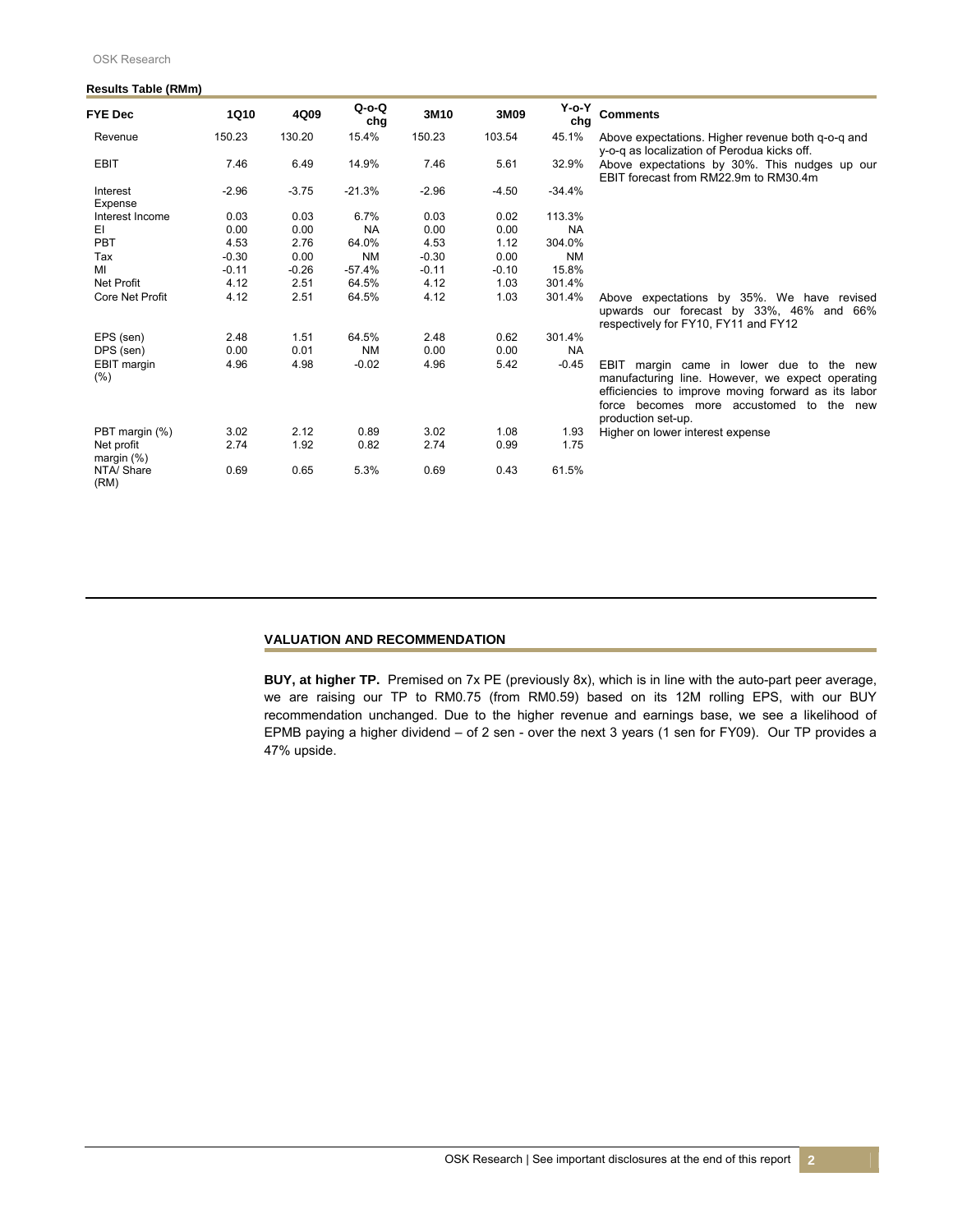| $100$ $1100$ $1000$ $11111111$ |         |         |                    |         |         |                    |                                                                                                                                                                                                                          |
|--------------------------------|---------|---------|--------------------|---------|---------|--------------------|--------------------------------------------------------------------------------------------------------------------------------------------------------------------------------------------------------------------------|
| <b>FYE Dec</b>                 | 1Q10    | 4Q09    | $Q$ -o- $Q$<br>chg | 3M10    | 3M09    | $Y$ -o- $Y$<br>chg | <b>Comments</b>                                                                                                                                                                                                          |
| Revenue                        | 150.23  | 130.20  | 15.4%              | 150.23  | 103.54  | 45.1%              | Above expectations. Higher revenue both g-o-g and<br>y-o-q as localization of Perodua kicks off.                                                                                                                         |
| <b>EBIT</b>                    | 7.46    | 6.49    | 14.9%              | 7.46    | 5.61    | 32.9%              | Above expectations by 30%. This nudges up our<br>EBIT forecast from RM22.9m to RM30.4m                                                                                                                                   |
| Interest<br>Expense            | $-2.96$ | $-3.75$ | $-21.3%$           | $-2.96$ | $-4.50$ | $-34.4%$           |                                                                                                                                                                                                                          |
| Interest Income                | 0.03    | 0.03    | 6.7%               | 0.03    | 0.02    | 113.3%             |                                                                                                                                                                                                                          |
| EI                             | 0.00    | 0.00    | <b>NA</b>          | 0.00    | 0.00    | <b>NA</b>          |                                                                                                                                                                                                                          |
| PBT                            | 4.53    | 2.76    | 64.0%              | 4.53    | 1.12    | 304.0%             |                                                                                                                                                                                                                          |
| Tax                            | $-0.30$ | 0.00    | <b>NM</b>          | $-0.30$ | 0.00    | <b>NM</b>          |                                                                                                                                                                                                                          |
| МΙ                             | $-0.11$ | $-0.26$ | $-57.4%$           | $-0.11$ | $-0.10$ | 15.8%              |                                                                                                                                                                                                                          |
| <b>Net Profit</b>              | 4.12    | 2.51    | 64.5%              | 4.12    | 1.03    | 301.4%             |                                                                                                                                                                                                                          |
| Core Net Profit                | 4.12    | 2.51    | 64.5%              | 4.12    | 1.03    | 301.4%             | Above expectations by 35%. We have revised<br>upwards our forecast by 33%, 46% and 66%<br>respectively for FY10, FY11 and FY12                                                                                           |
| EPS (sen)                      | 2.48    | 1.51    | 64.5%              | 2.48    | 0.62    | 301.4%             |                                                                                                                                                                                                                          |
| DPS (sen)                      | 0.00    | 0.01    | <b>NM</b>          | 0.00    | 0.00    | <b>NA</b>          |                                                                                                                                                                                                                          |
| <b>EBIT</b> margin<br>$(\% )$  | 4.96    | 4.98    | $-0.02$            | 4.96    | 5.42    | $-0.45$            | EBIT margin came in lower due to the new<br>manufacturing line. However, we expect operating<br>efficiencies to improve moving forward as its labor<br>force becomes more accustomed to the<br>new<br>production set-up. |
| PBT margin (%)                 | 3.02    | 2.12    | 0.89               | 3.02    | 1.08    | 1.93               | Higher on lower interest expense                                                                                                                                                                                         |
| Net profit<br>margin $(\%)$    | 2.74    | 1.92    | 0.82               | 2.74    | 0.99    | 1.75               |                                                                                                                                                                                                                          |
| NTA/Share<br>(RM)              | 0.69    | 0.65    | 5.3%               | 0.69    | 0.43    | 61.5%              |                                                                                                                                                                                                                          |

# **Results Table (RMm)**

# **VALUATION AND RECOMMENDATION**

**BUY, at higher TP.** Premised on 7x PE (previously 8x), which is in line with the auto-part peer average, we are raising our TP to RM0.75 (from RM0.59) based on its 12M rolling EPS, with our BUY recommendation unchanged. Due to the higher revenue and earnings base, we see a likelihood of EPMB paying a higher dividend – of 2 sen - over the next 3 years (1 sen for FY09). Our TP provides a 47% upside.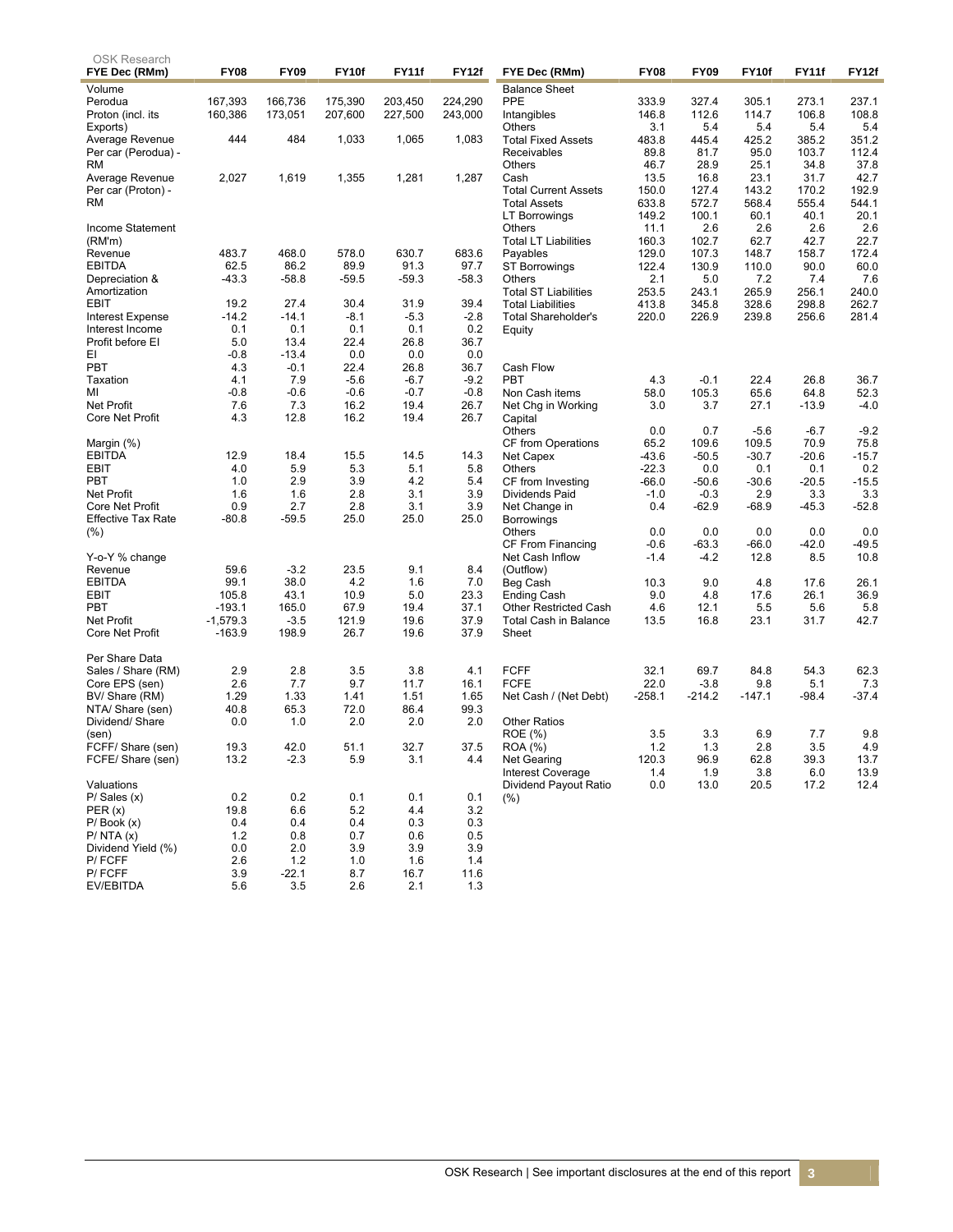| OSK Research                        | <b>FY08</b>        | <b>FY09</b>        | FY10f              | FY11f              | FY12f              |                              | <b>FY08</b> | <b>FY09</b> | FY10f   | FY11f   | FY12f          |
|-------------------------------------|--------------------|--------------------|--------------------|--------------------|--------------------|------------------------------|-------------|-------------|---------|---------|----------------|
| FYE Dec (RMm)                       |                    |                    |                    |                    |                    | FYE Dec (RMm)                |             |             |         |         |                |
| Volume                              |                    |                    |                    |                    |                    | <b>Balance Sheet</b><br>PPE  | 333.9       | 327.4       | 305.1   | 273.1   |                |
| Perodua<br>Proton (incl. its        | 167,393<br>160,386 | 166,736<br>173,051 | 175,390<br>207,600 | 203,450<br>227,500 | 224,290<br>243,000 |                              | 146.8       | 112.6       | 114.7   | 106.8   | 237.1<br>108.8 |
| Exports)                            |                    |                    |                    |                    |                    | Intangibles<br><b>Others</b> | 3.1         | 5.4         | 5.4     | 5.4     | 5.4            |
| Average Revenue                     | 444                | 484                | 1,033              | 1,065              | 1,083              | <b>Total Fixed Assets</b>    | 483.8       | 445.4       | 425.2   | 385.2   | 351.2          |
| Per car (Perodua) -                 |                    |                    |                    |                    |                    | Receivables                  | 89.8        | 81.7        | 95.0    | 103.7   | 112.4          |
| <b>RM</b>                           |                    |                    |                    |                    |                    | Others                       | 46.7        | 28.9        | 25.1    | 34.8    | 37.8           |
| Average Revenue                     | 2,027              | 1,619              | 1,355              | 1,281              | 1,287              | Cash                         | 13.5        | 16.8        | 23.1    | 31.7    | 42.7           |
| Per car (Proton) -                  |                    |                    |                    |                    |                    | <b>Total Current Assets</b>  | 150.0       | 127.4       | 143.2   | 170.2   | 192.9          |
| <b>RM</b>                           |                    |                    |                    |                    |                    | <b>Total Assets</b>          | 633.8       | 572.7       | 568.4   | 555.4   | 544.1          |
|                                     |                    |                    |                    |                    |                    | LT Borrowings                | 149.2       | 100.1       | 60.1    | 40.1    | 20.1           |
| Income Statement                    |                    |                    |                    |                    |                    | Others                       | 11.1        | 2.6         | 2.6     | 2.6     | 2.6            |
| (RM'm)                              |                    |                    |                    |                    |                    | <b>Total LT Liabilities</b>  | 160.3       | 102.7       | 62.7    | 42.7    | 22.7           |
| Revenue                             | 483.7              | 468.0              | 578.0              | 630.7              | 683.6              | Payables                     | 129.0       | 107.3       | 148.7   | 158.7   | 172.4          |
| <b>EBITDA</b>                       | 62.5               | 86.2               | 89.9               | 91.3               | 97.7               | <b>ST Borrowings</b>         | 122.4       | 130.9       | 110.0   | 90.0    | 60.0           |
| Depreciation &                      | $-43.3$            | $-58.8$            | $-59.5$            | $-59.3$            | $-58.3$            | Others                       | 2.1         | 5.0         | 7.2     | 7.4     | 7.6            |
| Amortization                        |                    |                    |                    |                    |                    | <b>Total ST Liabilities</b>  | 253.5       | 243.1       | 265.9   | 256.1   | 240.0          |
| EBIT                                | 19.2               | 27.4               | 30.4               | 31.9               | 39.4               | <b>Total Liabilities</b>     | 413.8       | 345.8       | 328.6   | 298.8   | 262.7          |
| <b>Interest Expense</b>             | $-14.2$            | $-14.1$            | $-8.1$<br>0.1      | $-5.3$             | $-2.8$             | <b>Total Shareholder's</b>   | 220.0       | 226.9       | 239.8   | 256.6   | 281.4          |
| Interest Income<br>Profit before El | 0.1<br>5.0         | 0.1<br>13.4        | 22.4               | 0.1<br>26.8        | 0.2<br>36.7        | Equity                       |             |             |         |         |                |
| EI                                  | -0.8               | $-13.4$            | 0.0                | 0.0                | 0.0                |                              |             |             |         |         |                |
| PBT                                 | 4.3                | $-0.1$             | 22.4               | 26.8               | 36.7               | Cash Flow                    |             |             |         |         |                |
| Taxation                            | 4.1                | 7.9                | $-5.6$             | $-6.7$             | $-9.2$             | <b>PBT</b>                   | 4.3         | $-0.1$      | 22.4    | 26.8    | 36.7           |
| ΜI                                  | -0.8               | $-0.6$             | $-0.6$             | $-0.7$             | $-0.8$             | Non Cash items               | 58.0        | 105.3       | 65.6    | 64.8    | 52.3           |
| <b>Net Profit</b>                   | 7.6                | 7.3                | 16.2               | 19.4               | 26.7               | Net Chg in Working           | 3.0         | 3.7         | 27.1    | $-13.9$ | $-4.0$         |
| Core Net Profit                     | 4.3                | 12.8               | 16.2               | 19.4               | 26.7               | Capital                      |             |             |         |         |                |
|                                     |                    |                    |                    |                    |                    | Others                       | 0.0         | 0.7         | $-5.6$  | $-6.7$  | $-9.2$         |
| Margin (%)                          |                    |                    |                    |                    |                    | CF from Operations           | 65.2        | 109.6       | 109.5   | 70.9    | 75.8           |
| <b>EBITDA</b>                       | 12.9               | 18.4               | 15.5               | 14.5               | 14.3               | Net Capex                    | $-43.6$     | $-50.5$     | $-30.7$ | $-20.6$ | $-15.7$        |
| EBIT                                | 4.0                | 5.9                | 5.3                | 5.1                | 5.8                | Others                       | $-22.3$     | 0.0         | 0.1     | 0.1     | 0.2            |
| PBT                                 | 1.0                | 2.9                | 3.9                | 4.2                | 5.4                | CF from Investing            | $-66.0$     | $-50.6$     | $-30.6$ | $-20.5$ | $-15.5$        |
| <b>Net Profit</b>                   | 1.6                | 1.6                | 2.8                | 3.1                | 3.9                | Dividends Paid               | $-1.0$      | $-0.3$      | 2.9     | 3.3     | 3.3            |
| <b>Core Net Profit</b>              | 0.9                | 2.7                | 2.8                | 3.1                | 3.9                | Net Change in                | 0.4         | $-62.9$     | $-68.9$ | $-45.3$ | $-52.8$        |
| <b>Effective Tax Rate</b>           | $-80.8$            | $-59.5$            | 25.0               | 25.0               | 25.0               | <b>Borrowings</b>            |             |             |         |         |                |
| $(\%)$                              |                    |                    |                    |                    |                    | Others                       | 0.0         | 0.0         | 0.0     | 0.0     | 0.0            |
|                                     |                    |                    |                    |                    |                    | CF From Financing            | $-0.6$      | $-63.3$     | -66.0   | $-42.0$ | $-49.5$        |
| Y-o-Y % change<br>Revenue           | 59.6               | $-3.2$             | 23.5               | 9.1                | 8.4                | Net Cash Inflow              | $-1.4$      | $-4.2$      | 12.8    | 8.5     | 10.8           |
| <b>EBITDA</b>                       | 99.1               | 38.0               | 4.2                | 1.6                | 7.0                | (Outflow)<br>Beg Cash        | 10.3        | 9.0         | 4.8     | 17.6    | 26.1           |
| EBIT                                | 105.8              | 43.1               | 10.9               | 5.0                | 23.3               | <b>Ending Cash</b>           | 9.0         | 4.8         | 17.6    | 26.1    | 36.9           |
| PBT                                 | -193.1             | 165.0              | 67.9               | 19.4               | 37.1               | <b>Other Restricted Cash</b> | 4.6         | 12.1        | 5.5     | 5.6     | 5.8            |
| <b>Net Profit</b>                   | $-1,579.3$         | $-3.5$             | 121.9              | 19.6               | 37.9               | Total Cash in Balance        | 13.5        | 16.8        | 23.1    | 31.7    | 42.7           |
| Core Net Profit                     | -163.9             | 198.9              | 26.7               | 19.6               | 37.9               | Sheet                        |             |             |         |         |                |
|                                     |                    |                    |                    |                    |                    |                              |             |             |         |         |                |
| Per Share Data                      |                    |                    |                    |                    |                    |                              |             |             |         |         |                |
| Sales / Share (RM)                  | 2.9                | 2.8                | 3.5                | 3.8                | 4.1                | <b>FCFF</b>                  | 32.1        | 69.7        | 84.8    | 54.3    | 62.3           |
| Core EPS (sen)                      | 2.6                | 7.7                | 9.7                | 11.7               | 16.1               | <b>FCFE</b>                  | 22.0        | $-3.8$      | 9.8     | 5.1     | 7.3            |
| BV/ Share (RM)                      | 1.29               | 1.33               | 1.41               | 1.51               | 1.65               | Net Cash / (Net Debt)        | $-258.1$    | $-214.2$    | -147.1  | $-98.4$ | $-37.4$        |
| NTA/ Share (sen)                    | 40.8               | 65.3               | 72.0               | 86.4               | 99.3               |                              |             |             |         |         |                |
| Dividend/Share                      | 0.0                | 1.0                | 2.0                | 2.0                | 2.0                | <b>Other Ratios</b>          |             |             |         |         |                |
| (sen)                               |                    |                    |                    |                    |                    | ROE (%)                      | 3.5         | 3.3         | 6.9     | 7.7     | 9.8            |
| FCFF/ Share (sen)                   | 19.3               | 42.0               | 51.1               | 32.7               | 37.5               | ROA (%)                      | 1.2         | 1.3         | 2.8     | 3.5     | 4.9            |
| FCFE/Share (sen)                    | 13.2               | $-2.3$             | 5.9                | 3.1                | 4.4                | Net Gearing                  | 120.3       | 96.9        | 62.8    | 39.3    | 13.7           |
|                                     |                    |                    |                    |                    |                    | <b>Interest Coverage</b>     | 1.4         | 1.9         | 3.8     | 6.0     | 13.9           |
| Valuations                          |                    |                    |                    |                    |                    | Dividend Payout Ratio        | 0.0         | 13.0        | 20.5    | 17.2    | 12.4           |
| $P/$ Sales $(x)$                    | 0.2                | 0.2                | 0.1                | 0.1                | 0.1                | (%)                          |             |             |         |         |                |
| PER (x)<br>$P/$ Book $(x)$          | 19.8<br>0.4        | 6.6<br>0.4         | 5.2<br>0.4         | 4.4<br>0.3         | 3.2<br>0.3         |                              |             |             |         |         |                |
| P/NTA(x)                            | $1.2$              | 0.8                | 0.7                | 0.6                | 0.5                |                              |             |             |         |         |                |
| Dividend Yield (%)                  | 0.0                | 2.0                | 3.9                | 3.9                | 3.9                |                              |             |             |         |         |                |
| P/FCFF                              | 2.6                | 1.2                | 1.0                | 1.6                | 1.4                |                              |             |             |         |         |                |
| P/FCFF                              | 3.9                | $-22.1$            | 8.7                | 16.7               | 11.6               |                              |             |             |         |         |                |
| EV/EBITDA                           | 5.6                | 3.5                | 2.6                | 2.1                | 1.3                |                              |             |             |         |         |                |